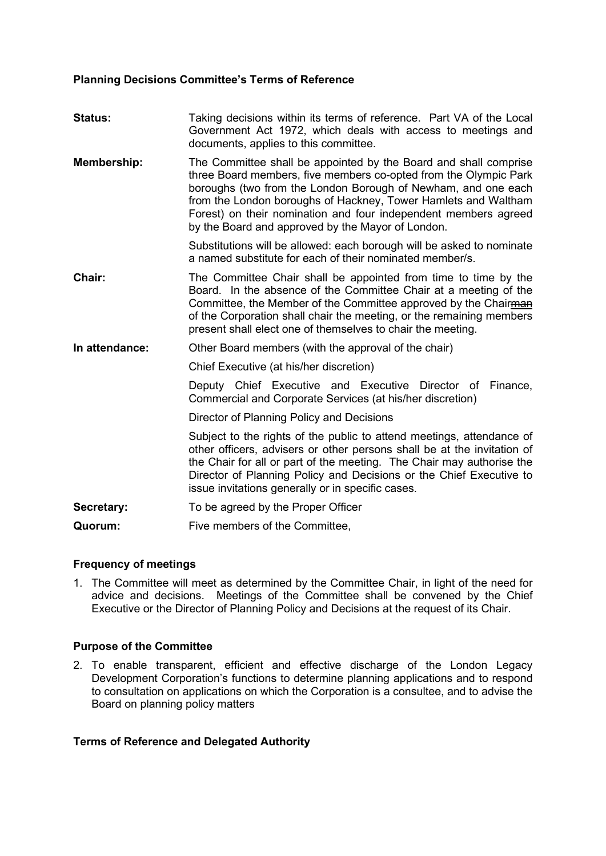### **Planning Decisions Committee's Terms of Reference**

| <b>Status:</b> | Taking decisions within its terms of reference. Part VA of the Local<br>Government Act 1972, which deals with access to meetings and<br>documents, applies to this committee.                                                                                                                                                                                                                   |  |  |
|----------------|-------------------------------------------------------------------------------------------------------------------------------------------------------------------------------------------------------------------------------------------------------------------------------------------------------------------------------------------------------------------------------------------------|--|--|
| Membership:    | The Committee shall be appointed by the Board and shall comprise<br>three Board members, five members co-opted from the Olympic Park<br>boroughs (two from the London Borough of Newham, and one each<br>from the London boroughs of Hackney, Tower Hamlets and Waltham<br>Forest) on their nomination and four independent members agreed<br>by the Board and approved by the Mayor of London. |  |  |
|                | Substitutions will be allowed: each borough will be asked to nominate<br>a named substitute for each of their nominated member/s.                                                                                                                                                                                                                                                               |  |  |
| Chair:         | The Committee Chair shall be appointed from time to time by the<br>Board. In the absence of the Committee Chair at a meeting of the<br>Committee, the Member of the Committee approved by the Chairman<br>of the Corporation shall chair the meeting, or the remaining members<br>present shall elect one of themselves to chair the meeting.                                                   |  |  |
| In attendance: | Other Board members (with the approval of the chair)                                                                                                                                                                                                                                                                                                                                            |  |  |
|                | Chief Executive (at his/her discretion)                                                                                                                                                                                                                                                                                                                                                         |  |  |
|                | Deputy Chief Executive and Executive Director of Finance,<br>Commercial and Corporate Services (at his/her discretion)                                                                                                                                                                                                                                                                          |  |  |
|                | Director of Planning Policy and Decisions                                                                                                                                                                                                                                                                                                                                                       |  |  |
|                | Subject to the rights of the public to attend meetings, attendance of<br>other officers, advisers or other persons shall be at the invitation of<br>the Chair for all or part of the meeting. The Chair may authorise the<br>Director of Planning Policy and Decisions or the Chief Executive to<br>issue invitations generally or in specific cases.                                           |  |  |
| Secretary:     | To be agreed by the Proper Officer                                                                                                                                                                                                                                                                                                                                                              |  |  |
| Quorum:        | Five members of the Committee,                                                                                                                                                                                                                                                                                                                                                                  |  |  |

## **Frequency of meetings**

1. The Committee will meet as determined by the Committee Chair, in light of the need for advice and decisions. Meetings of the Committee shall be convened by the Chief Executive or the Director of Planning Policy and Decisions at the request of its Chair.

## **Purpose of the Committee**

2. To enable transparent, efficient and effective discharge of the London Legacy Development Corporation's functions to determine planning applications and to respond to consultation on applications on which the Corporation is a consultee, and to advise the Board on planning policy matters

# **Terms of Reference and Delegated Authority**